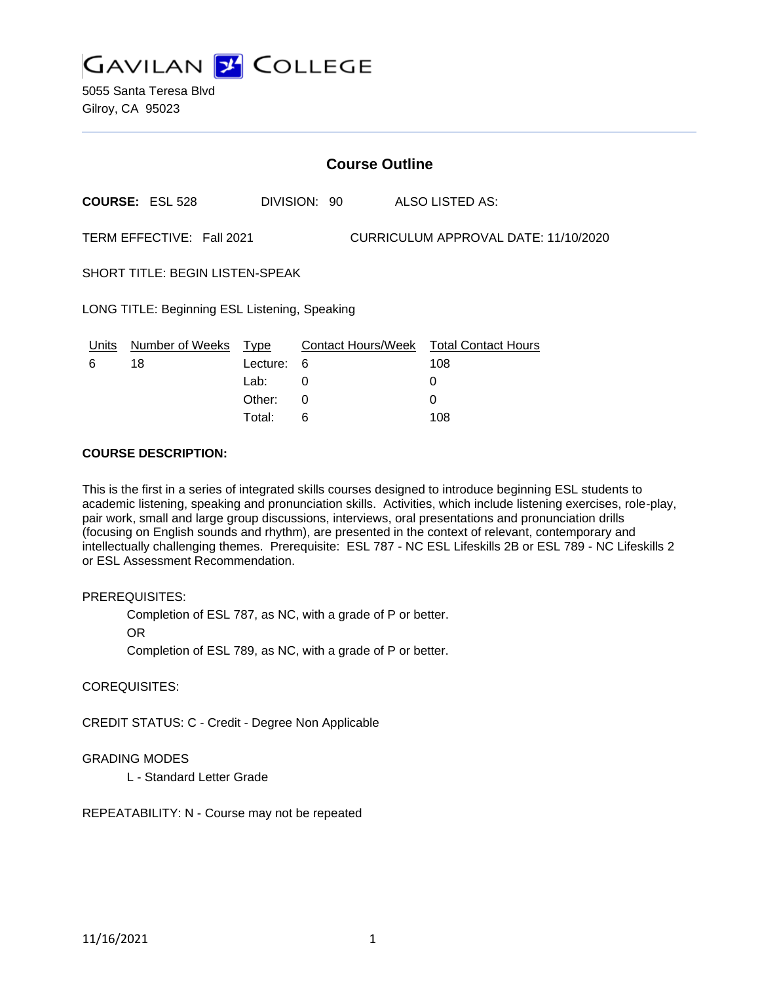

5055 Santa Teresa Blvd Gilroy, CA 95023

|                                                                   | <b>Course Outline</b>  |             |              |                                        |  |
|-------------------------------------------------------------------|------------------------|-------------|--------------|----------------------------------------|--|
|                                                                   | <b>COURSE: ESL 528</b> |             | DIVISION: 90 | ALSO LISTED AS:                        |  |
| TERM EFFECTIVE: Fall 2021<br>CURRICULUM APPROVAL DATE: 11/10/2020 |                        |             |              |                                        |  |
| <b>SHORT TITLE: BEGIN LISTEN-SPEAK</b>                            |                        |             |              |                                        |  |
| LONG TITLE: Beginning ESL Listening, Speaking                     |                        |             |              |                                        |  |
| Units                                                             | Number of Weeks        | <b>Type</b> |              | Contact Hours/Week Total Contact Hours |  |
| 6                                                                 | 18                     | Lecture:    | 6            | 108                                    |  |
|                                                                   |                        | Lab:        | 0            | 0                                      |  |
|                                                                   |                        | Other:      | 0            | 0                                      |  |

Total: 6 108

#### **COURSE DESCRIPTION:**

This is the first in a series of integrated skills courses designed to introduce beginning ESL students to academic listening, speaking and pronunciation skills. Activities, which include listening exercises, role-play, pair work, small and large group discussions, interviews, oral presentations and pronunciation drills (focusing on English sounds and rhythm), are presented in the context of relevant, contemporary and intellectually challenging themes. Prerequisite: ESL 787 - NC ESL Lifeskills 2B or ESL 789 - NC Lifeskills 2 or ESL Assessment Recommendation.

## PREREQUISITES:

Completion of ESL 787, as NC, with a grade of P or better.

OR

Completion of ESL 789, as NC, with a grade of P or better.

#### COREQUISITES:

CREDIT STATUS: C - Credit - Degree Non Applicable

#### GRADING MODES

L - Standard Letter Grade

REPEATABILITY: N - Course may not be repeated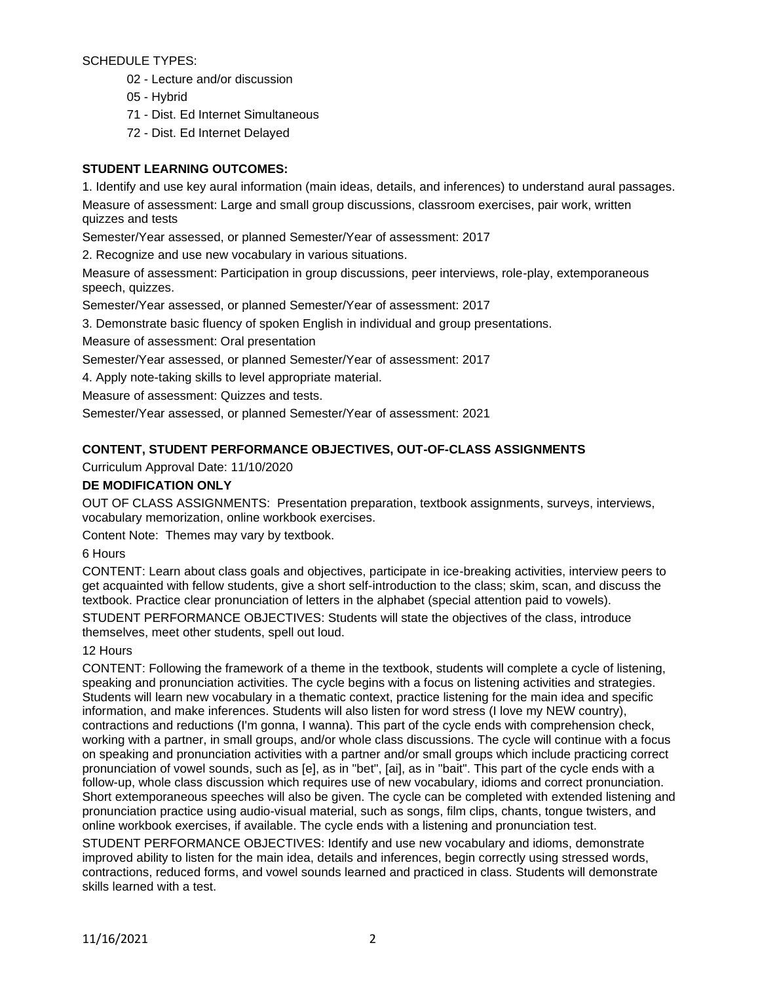SCHEDULE TYPES:

- 02 Lecture and/or discussion
- 05 Hybrid
- 71 Dist. Ed Internet Simultaneous
- 72 Dist. Ed Internet Delayed

# **STUDENT LEARNING OUTCOMES:**

1. Identify and use key aural information (main ideas, details, and inferences) to understand aural passages.

Measure of assessment: Large and small group discussions, classroom exercises, pair work, written quizzes and tests

Semester/Year assessed, or planned Semester/Year of assessment: 2017

2. Recognize and use new vocabulary in various situations.

Measure of assessment: Participation in group discussions, peer interviews, role-play, extemporaneous speech, quizzes.

Semester/Year assessed, or planned Semester/Year of assessment: 2017

3. Demonstrate basic fluency of spoken English in individual and group presentations.

Measure of assessment: Oral presentation

Semester/Year assessed, or planned Semester/Year of assessment: 2017

4. Apply note-taking skills to level appropriate material.

Measure of assessment: Quizzes and tests.

Semester/Year assessed, or planned Semester/Year of assessment: 2021

# **CONTENT, STUDENT PERFORMANCE OBJECTIVES, OUT-OF-CLASS ASSIGNMENTS**

Curriculum Approval Date: 11/10/2020

## **DE MODIFICATION ONLY**

OUT OF CLASS ASSIGNMENTS: Presentation preparation, textbook assignments, surveys, interviews, vocabulary memorization, online workbook exercises.

Content Note: Themes may vary by textbook.

6 Hours

CONTENT: Learn about class goals and objectives, participate in ice-breaking activities, interview peers to get acquainted with fellow students, give a short self-introduction to the class; skim, scan, and discuss the textbook. Practice clear pronunciation of letters in the alphabet (special attention paid to vowels). STUDENT PERFORMANCE OBJECTIVES: Students will state the objectives of the class, introduce

themselves, meet other students, spell out loud.

# 12 Hours

CONTENT: Following the framework of a theme in the textbook, students will complete a cycle of listening, speaking and pronunciation activities. The cycle begins with a focus on listening activities and strategies. Students will learn new vocabulary in a thematic context, practice listening for the main idea and specific information, and make inferences. Students will also listen for word stress (I love my NEW country), contractions and reductions (I'm gonna, I wanna). This part of the cycle ends with comprehension check, working with a partner, in small groups, and/or whole class discussions. The cycle will continue with a focus on speaking and pronunciation activities with a partner and/or small groups which include practicing correct pronunciation of vowel sounds, such as [e], as in "bet", [ai], as in "bait". This part of the cycle ends with a follow-up, whole class discussion which requires use of new vocabulary, idioms and correct pronunciation. Short extemporaneous speeches will also be given. The cycle can be completed with extended listening and pronunciation practice using audio-visual material, such as songs, film clips, chants, tongue twisters, and online workbook exercises, if available. The cycle ends with a listening and pronunciation test.

STUDENT PERFORMANCE OBJECTIVES: Identify and use new vocabulary and idioms, demonstrate improved ability to listen for the main idea, details and inferences, begin correctly using stressed words, contractions, reduced forms, and vowel sounds learned and practiced in class. Students will demonstrate skills learned with a test.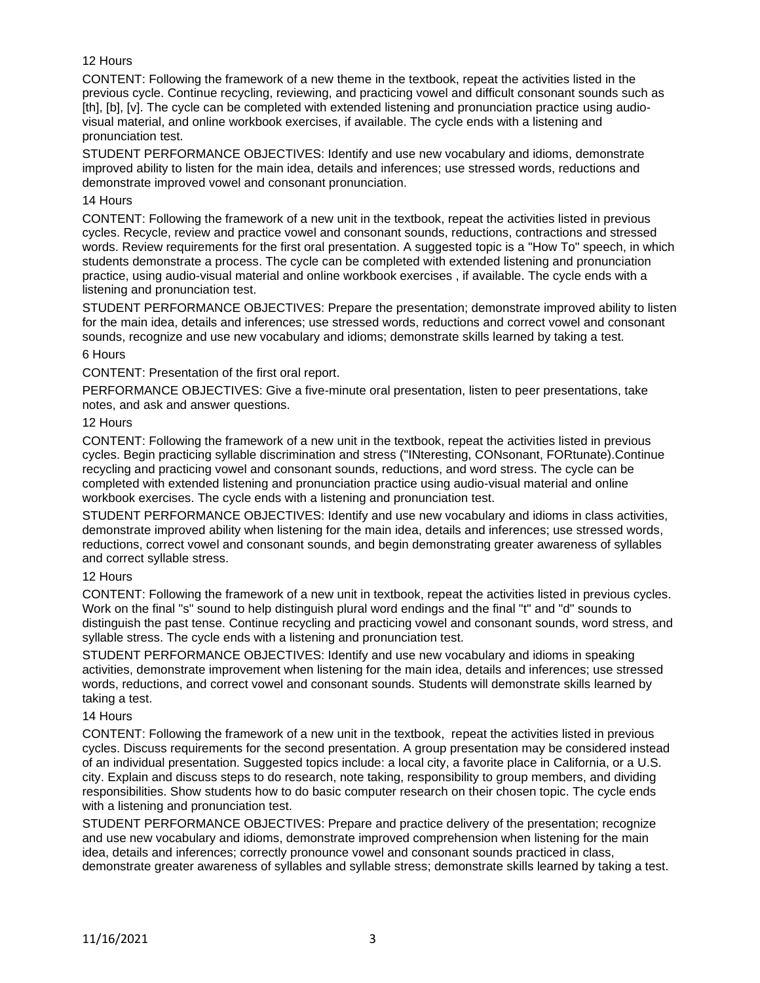## 12 Hours

CONTENT: Following the framework of a new theme in the textbook, repeat the activities listed in the previous cycle. Continue recycling, reviewing, and practicing vowel and difficult consonant sounds such as [th], [b], [v]. The cycle can be completed with extended listening and pronunciation practice using audiovisual material, and online workbook exercises, if available. The cycle ends with a listening and pronunciation test.

STUDENT PERFORMANCE OBJECTIVES: Identify and use new vocabulary and idioms, demonstrate improved ability to listen for the main idea, details and inferences; use stressed words, reductions and demonstrate improved vowel and consonant pronunciation.

### 14 Hours

CONTENT: Following the framework of a new unit in the textbook, repeat the activities listed in previous cycles. Recycle, review and practice vowel and consonant sounds, reductions, contractions and stressed words. Review requirements for the first oral presentation. A suggested topic is a "How To" speech, in which students demonstrate a process. The cycle can be completed with extended listening and pronunciation practice, using audio-visual material and online workbook exercises , if available. The cycle ends with a listening and pronunciation test.

STUDENT PERFORMANCE OBJECTIVES: Prepare the presentation; demonstrate improved ability to listen for the main idea, details and inferences; use stressed words, reductions and correct vowel and consonant sounds, recognize and use new vocabulary and idioms; demonstrate skills learned by taking a test.

#### 6 Hours

CONTENT: Presentation of the first oral report.

PERFORMANCE OBJECTIVES: Give a five-minute oral presentation, listen to peer presentations, take notes, and ask and answer questions.

#### 12 Hours

CONTENT: Following the framework of a new unit in the textbook, repeat the activities listed in previous cycles. Begin practicing syllable discrimination and stress ("INteresting, CONsonant, FORtunate).Continue recycling and practicing vowel and consonant sounds, reductions, and word stress. The cycle can be completed with extended listening and pronunciation practice using audio-visual material and online workbook exercises. The cycle ends with a listening and pronunciation test.

STUDENT PERFORMANCE OBJECTIVES: Identify and use new vocabulary and idioms in class activities, demonstrate improved ability when listening for the main idea, details and inferences; use stressed words, reductions, correct vowel and consonant sounds, and begin demonstrating greater awareness of syllables and correct syllable stress.

## 12 Hours

CONTENT: Following the framework of a new unit in textbook, repeat the activities listed in previous cycles. Work on the final "s" sound to help distinguish plural word endings and the final "t" and "d" sounds to distinguish the past tense. Continue recycling and practicing vowel and consonant sounds, word stress, and syllable stress. The cycle ends with a listening and pronunciation test.

STUDENT PERFORMANCE OBJECTIVES: Identify and use new vocabulary and idioms in speaking activities, demonstrate improvement when listening for the main idea, details and inferences; use stressed words, reductions, and correct vowel and consonant sounds. Students will demonstrate skills learned by taking a test.

#### 14 Hours

CONTENT: Following the framework of a new unit in the textbook, repeat the activities listed in previous cycles. Discuss requirements for the second presentation. A group presentation may be considered instead of an individual presentation. Suggested topics include: a local city, a favorite place in California, or a U.S. city. Explain and discuss steps to do research, note taking, responsibility to group members, and dividing responsibilities. Show students how to do basic computer research on their chosen topic. The cycle ends with a listening and pronunciation test.

STUDENT PERFORMANCE OBJECTIVES: Prepare and practice delivery of the presentation; recognize and use new vocabulary and idioms, demonstrate improved comprehension when listening for the main idea, details and inferences; correctly pronounce vowel and consonant sounds practiced in class, demonstrate greater awareness of syllables and syllable stress; demonstrate skills learned by taking a test.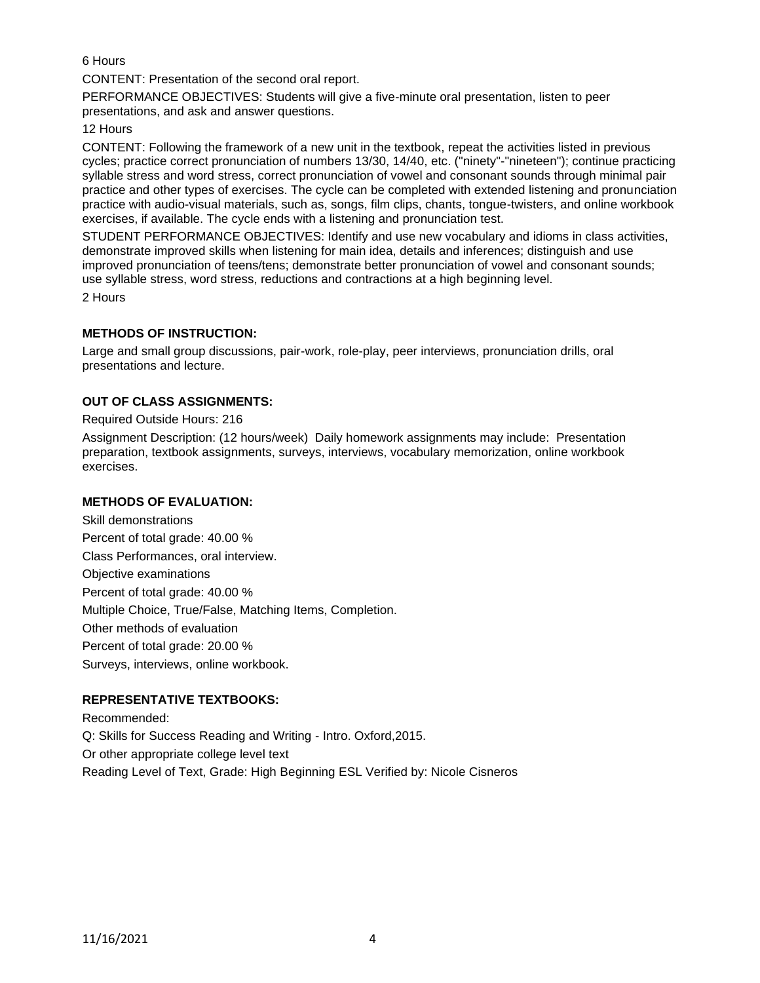## 6 Hours

CONTENT: Presentation of the second oral report.

PERFORMANCE OBJECTIVES: Students will give a five-minute oral presentation, listen to peer presentations, and ask and answer questions.

### 12 Hours

CONTENT: Following the framework of a new unit in the textbook, repeat the activities listed in previous cycles; practice correct pronunciation of numbers 13/30, 14/40, etc. ("ninety"-"nineteen"); continue practicing syllable stress and word stress, correct pronunciation of vowel and consonant sounds through minimal pair practice and other types of exercises. The cycle can be completed with extended listening and pronunciation practice with audio-visual materials, such as, songs, film clips, chants, tongue-twisters, and online workbook exercises, if available. The cycle ends with a listening and pronunciation test.

STUDENT PERFORMANCE OBJECTIVES: Identify and use new vocabulary and idioms in class activities, demonstrate improved skills when listening for main idea, details and inferences; distinguish and use improved pronunciation of teens/tens; demonstrate better pronunciation of vowel and consonant sounds; use syllable stress, word stress, reductions and contractions at a high beginning level.

2 Hours

## **METHODS OF INSTRUCTION:**

Large and small group discussions, pair-work, role-play, peer interviews, pronunciation drills, oral presentations and lecture.

## **OUT OF CLASS ASSIGNMENTS:**

Required Outside Hours: 216

Assignment Description: (12 hours/week) Daily homework assignments may include: Presentation preparation, textbook assignments, surveys, interviews, vocabulary memorization, online workbook exercises.

## **METHODS OF EVALUATION:**

Skill demonstrations Percent of total grade: 40.00 % Class Performances, oral interview. Objective examinations Percent of total grade: 40.00 % Multiple Choice, True/False, Matching Items, Completion. Other methods of evaluation Percent of total grade: 20.00 % Surveys, interviews, online workbook.

# **REPRESENTATIVE TEXTBOOKS:**

Recommended: Q: Skills for Success Reading and Writing - Intro. Oxford,2015. Or other appropriate college level text Reading Level of Text, Grade: High Beginning ESL Verified by: Nicole Cisneros